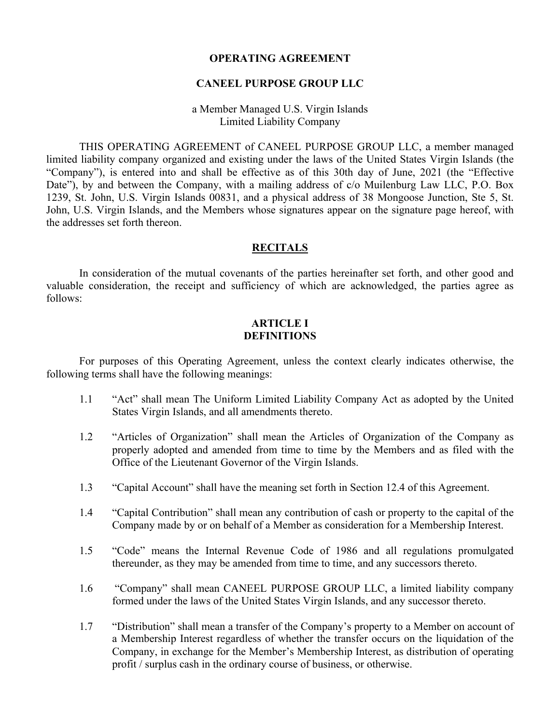#### **CANEEL PURPOSE GROUP LLC**

#### a Member Managed U.S. Virgin Islands Limited Liability Company

THIS OPERATING AGREEMENT of CANEEL PURPOSE GROUP LLC, a member managed limited liability company organized and existing under the laws of the United States Virgin Islands (the "Company"), is entered into and shall be effective as of this 30th day of June, 2021 (the "Effective Date"), by and between the Company, with a mailing address of c/o Muilenburg Law LLC, P.O. Box 1239, St. John, U.S. Virgin Islands 00831, and a physical address of 38 Mongoose Junction, Ste 5, St. John, U.S. Virgin Islands, and the Members whose signatures appear on the signature page hereof, with the addresses set forth thereon.

#### **RECITALS**

In consideration of the mutual covenants of the parties hereinafter set forth, and other good and valuable consideration, the receipt and sufficiency of which are acknowledged, the parties agree as follows:

#### **ARTICLE I DEFINITIONS**

For purposes of this Operating Agreement, unless the context clearly indicates otherwise, the following terms shall have the following meanings:

- 1.1 "Act" shall mean The Uniform Limited Liability Company Act as adopted by the United States Virgin Islands, and all amendments thereto.
- 1.2 "Articles of Organization" shall mean the Articles of Organization of the Company as properly adopted and amended from time to time by the Members and as filed with the Office of the Lieutenant Governor of the Virgin Islands.
- 1.3 "Capital Account" shall have the meaning set forth in Section 12.4 of this Agreement.
- 1.4 "Capital Contribution" shall mean any contribution of cash or property to the capital of the Company made by or on behalf of a Member as consideration for a Membership Interest.
- 1.5 "Code" means the Internal Revenue Code of 1986 and all regulations promulgated thereunder, as they may be amended from time to time, and any successors thereto.
- 1.6 "Company" shall mean CANEEL PURPOSE GROUP LLC, a limited liability company formed under the laws of the United States Virgin Islands, and any successor thereto.
- 1.7 "Distribution" shall mean a transfer of the Company's property to a Member on account of a Membership Interest regardless of whether the transfer occurs on the liquidation of the Company, in exchange for the Member's Membership Interest, as distribution of operating profit / surplus cash in the ordinary course of business, or otherwise.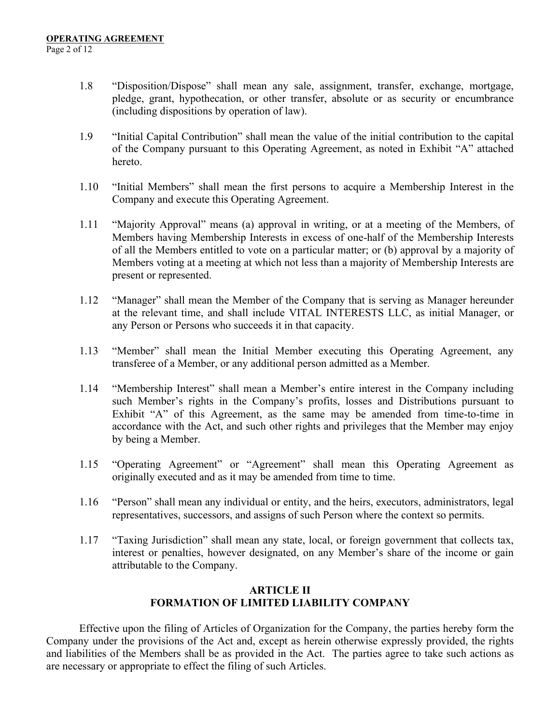- 1.8 "Disposition/Dispose" shall mean any sale, assignment, transfer, exchange, mortgage, pledge, grant, hypothecation, or other transfer, absolute or as security or encumbrance (including dispositions by operation of law).
- 1.9 "Initial Capital Contribution" shall mean the value of the initial contribution to the capital of the Company pursuant to this Operating Agreement, as noted in Exhibit "A" attached hereto.
- 1.10 "Initial Members" shall mean the first persons to acquire a Membership Interest in the Company and execute this Operating Agreement.
- 1.11 "Majority Approval" means (a) approval in writing, or at a meeting of the Members, of Members having Membership Interests in excess of one-half of the Membership Interests of all the Members entitled to vote on a particular matter; or (b) approval by a majority of Members voting at a meeting at which not less than a majority of Membership Interests are present or represented.
- 1.12 "Manager" shall mean the Member of the Company that is serving as Manager hereunder at the relevant time, and shall include VITAL INTERESTS LLC, as initial Manager, or any Person or Persons who succeeds it in that capacity.
- 1.13 "Member" shall mean the Initial Member executing this Operating Agreement, any transferee of a Member, or any additional person admitted as a Member.
- 1.14 "Membership Interest" shall mean a Member's entire interest in the Company including such Member's rights in the Company's profits, losses and Distributions pursuant to Exhibit "A" of this Agreement, as the same may be amended from time-to-time in accordance with the Act, and such other rights and privileges that the Member may enjoy by being a Member.
- 1.15 "Operating Agreement" or "Agreement" shall mean this Operating Agreement as originally executed and as it may be amended from time to time.
- 1.16 "Person" shall mean any individual or entity, and the heirs, executors, administrators, legal representatives, successors, and assigns of such Person where the context so permits.
- 1.17 "Taxing Jurisdiction" shall mean any state, local, or foreign government that collects tax, interest or penalties, however designated, on any Member's share of the income or gain attributable to the Company.

## **ARTICLE II FORMATION OF LIMITED LIABILITY COMPANY**

Effective upon the filing of Articles of Organization for the Company, the parties hereby form the Company under the provisions of the Act and, except as herein otherwise expressly provided, the rights and liabilities of the Members shall be as provided in the Act. The parties agree to take such actions as are necessary or appropriate to effect the filing of such Articles.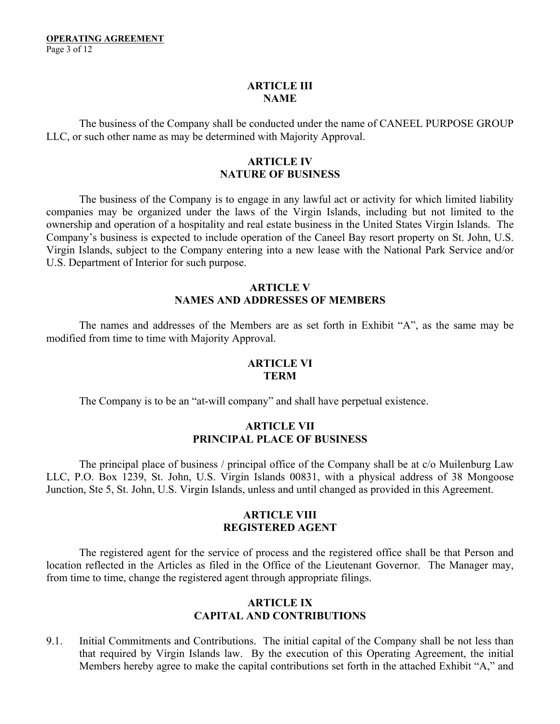## **ARTICLE III NAME**

The business of the Company shall be conducted under the name of CANEEL PURPOSE GROUP LLC, or such other name as may be determined with Majority Approval.

## **ARTICLE IV NATURE OF BUSINESS**

The business of the Company is to engage in any lawful act or activity for which limited liability companies may be organized under the laws of the Virgin Islands, including but not limited to the ownership and operation of a hospitality and real estate business in the United States Virgin Islands. The Company's business is expected to include operation of the Caneel Bay resort property on St. John, U.S. Virgin Islands, subject to the Company entering into a new lease with the National Park Service and/or U.S. Department of Interior for such purpose.

## **ARTICLE V NAMES AND ADDRESSES OF MEMBERS**

The names and addresses of the Members are as set forth in Exhibit "A", as the same may be modified from time to time with Majority Approval.

#### **ARTICLE VI TERM**

The Company is to be an "at-will company" and shall have perpetual existence.

## **ARTICLE VII PRINCIPAL PLACE OF BUSINESS**

The principal place of business / principal office of the Company shall be at c/o Muilenburg Law LLC, P.O. Box 1239, St. John, U.S. Virgin Islands 00831, with a physical address of 38 Mongoose Junction, Ste 5, St. John, U.S. Virgin Islands, unless and until changed as provided in this Agreement.

## **ARTICLE VIII REGISTERED AGENT**

The registered agent for the service of process and the registered office shall be that Person and location reflected in the Articles as filed in the Office of the Lieutenant Governor. The Manager may, from time to time, change the registered agent through appropriate filings.

## **ARTICLE IX CAPITAL AND CONTRIBUTIONS**

9.1. Initial Commitments and Contributions. The initial capital of the Company shall be not less than that required by Virgin Islands law. By the execution of this Operating Agreement, the initial Members hereby agree to make the capital contributions set forth in the attached Exhibit "A," and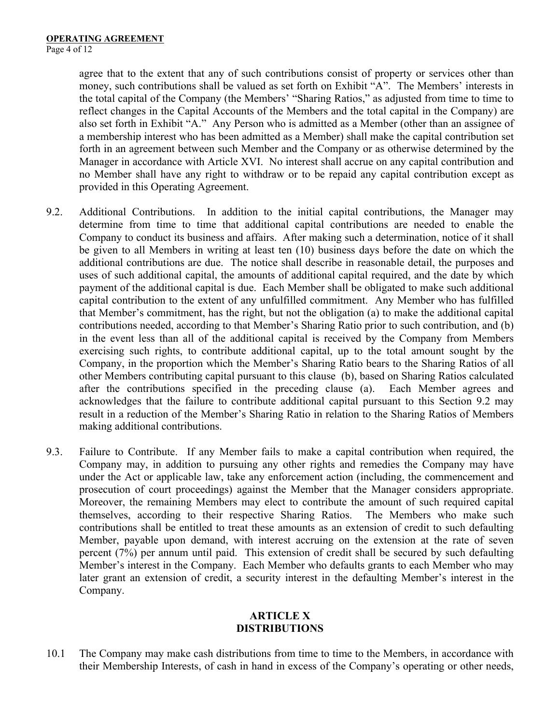agree that to the extent that any of such contributions consist of property or services other than money, such contributions shall be valued as set forth on Exhibit "A". The Members' interests in the total capital of the Company (the Members' "Sharing Ratios," as adjusted from time to time to reflect changes in the Capital Accounts of the Members and the total capital in the Company) are also set forth in Exhibit "A." Any Person who is admitted as a Member (other than an assignee of a membership interest who has been admitted as a Member) shall make the capital contribution set forth in an agreement between such Member and the Company or as otherwise determined by the Manager in accordance with Article XVI. No interest shall accrue on any capital contribution and no Member shall have any right to withdraw or to be repaid any capital contribution except as provided in this Operating Agreement.

- 9.2. Additional Contributions. In addition to the initial capital contributions, the Manager may determine from time to time that additional capital contributions are needed to enable the Company to conduct its business and affairs. After making such a determination, notice of it shall be given to all Members in writing at least ten (10) business days before the date on which the additional contributions are due. The notice shall describe in reasonable detail, the purposes and uses of such additional capital, the amounts of additional capital required, and the date by which payment of the additional capital is due. Each Member shall be obligated to make such additional capital contribution to the extent of any unfulfilled commitment. Any Member who has fulfilled that Member's commitment, has the right, but not the obligation (a) to make the additional capital contributions needed, according to that Member's Sharing Ratio prior to such contribution, and (b) in the event less than all of the additional capital is received by the Company from Members exercising such rights, to contribute additional capital, up to the total amount sought by the Company, in the proportion which the Member's Sharing Ratio bears to the Sharing Ratios of all other Members contributing capital pursuant to this clause (b), based on Sharing Ratios calculated after the contributions specified in the preceding clause (a). Each Member agrees and acknowledges that the failure to contribute additional capital pursuant to this Section 9.2 may result in a reduction of the Member's Sharing Ratio in relation to the Sharing Ratios of Members making additional contributions.
- 9.3. Failure to Contribute. If any Member fails to make a capital contribution when required, the Company may, in addition to pursuing any other rights and remedies the Company may have under the Act or applicable law, take any enforcement action (including, the commencement and prosecution of court proceedings) against the Member that the Manager considers appropriate. Moreover, the remaining Members may elect to contribute the amount of such required capital themselves, according to their respective Sharing Ratios. The Members who make such contributions shall be entitled to treat these amounts as an extension of credit to such defaulting Member, payable upon demand, with interest accruing on the extension at the rate of seven percent (7%) per annum until paid. This extension of credit shall be secured by such defaulting Member's interest in the Company. Each Member who defaults grants to each Member who may later grant an extension of credit, a security interest in the defaulting Member's interest in the Company.

## **ARTICLE X DISTRIBUTIONS**

10.1 The Company may make cash distributions from time to time to the Members, in accordance with their Membership Interests, of cash in hand in excess of the Company's operating or other needs,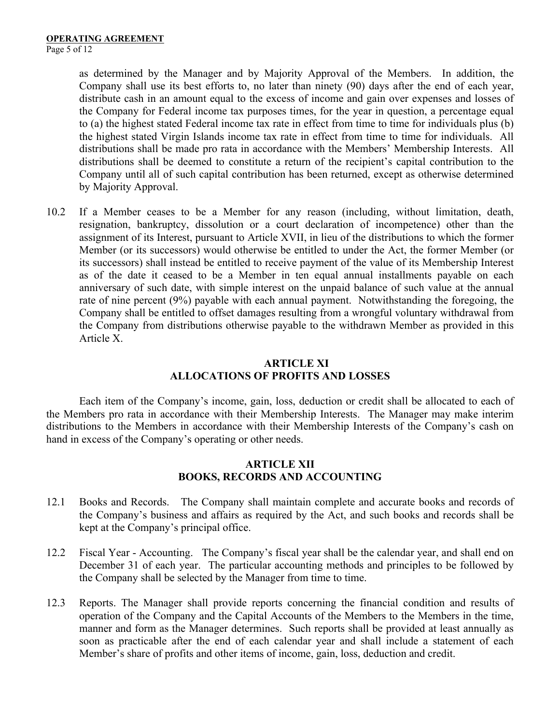as determined by the Manager and by Majority Approval of the Members. In addition, the Company shall use its best efforts to, no later than ninety (90) days after the end of each year, distribute cash in an amount equal to the excess of income and gain over expenses and losses of the Company for Federal income tax purposes times, for the year in question, a percentage equal to (a) the highest stated Federal income tax rate in effect from time to time for individuals plus (b) the highest stated Virgin Islands income tax rate in effect from time to time for individuals. All distributions shall be made pro rata in accordance with the Members' Membership Interests. All distributions shall be deemed to constitute a return of the recipient's capital contribution to the Company until all of such capital contribution has been returned, except as otherwise determined by Majority Approval.

10.2 If a Member ceases to be a Member for any reason (including, without limitation, death, resignation, bankruptcy, dissolution or a court declaration of incompetence) other than the assignment of its Interest, pursuant to Article XVII, in lieu of the distributions to which the former Member (or its successors) would otherwise be entitled to under the Act, the former Member (or its successors) shall instead be entitled to receive payment of the value of its Membership Interest as of the date it ceased to be a Member in ten equal annual installments payable on each anniversary of such date, with simple interest on the unpaid balance of such value at the annual rate of nine percent (9%) payable with each annual payment. Notwithstanding the foregoing, the Company shall be entitled to offset damages resulting from a wrongful voluntary withdrawal from the Company from distributions otherwise payable to the withdrawn Member as provided in this Article X.

## **ARTICLE XI ALLOCATIONS OF PROFITS AND LOSSES**

Each item of the Company's income, gain, loss, deduction or credit shall be allocated to each of the Members pro rata in accordance with their Membership Interests. The Manager may make interim distributions to the Members in accordance with their Membership Interests of the Company's cash on hand in excess of the Company's operating or other needs.

## **ARTICLE XII BOOKS, RECORDS AND ACCOUNTING**

- 12.1 Books and Records. The Company shall maintain complete and accurate books and records of the Company's business and affairs as required by the Act, and such books and records shall be kept at the Company's principal office.
- 12.2 Fiscal Year Accounting. The Company's fiscal year shall be the calendar year, and shall end on December 31 of each year. The particular accounting methods and principles to be followed by the Company shall be selected by the Manager from time to time.
- 12.3 Reports. The Manager shall provide reports concerning the financial condition and results of operation of the Company and the Capital Accounts of the Members to the Members in the time, manner and form as the Manager determines. Such reports shall be provided at least annually as soon as practicable after the end of each calendar year and shall include a statement of each Member's share of profits and other items of income, gain, loss, deduction and credit.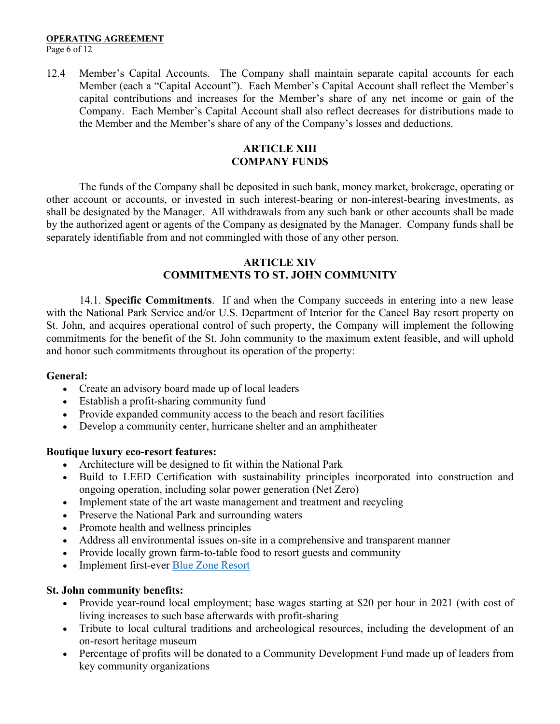Page 6 of 12

12.4 Member's Capital Accounts. The Company shall maintain separate capital accounts for each Member (each a "Capital Account"). Each Member's Capital Account shall reflect the Member's capital contributions and increases for the Member's share of any net income or gain of the Company. Each Member's Capital Account shall also reflect decreases for distributions made to the Member and the Member's share of any of the Company's losses and deductions.

# **ARTICLE XIII COMPANY FUNDS**

The funds of the Company shall be deposited in such bank, money market, brokerage, operating or other account or accounts, or invested in such interest-bearing or non-interest-bearing investments, as shall be designated by the Manager. All withdrawals from any such bank or other accounts shall be made by the authorized agent or agents of the Company as designated by the Manager. Company funds shall be separately identifiable from and not commingled with those of any other person.

## **ARTICLE XIV COMMITMENTS TO ST. JOHN COMMUNITY**

14.1. **Specific Commitments**. If and when the Company succeeds in entering into a new lease with the National Park Service and/or U.S. Department of Interior for the Caneel Bay resort property on St. John, and acquires operational control of such property, the Company will implement the following commitments for the benefit of the St. John community to the maximum extent feasible, and will uphold and honor such commitments throughout its operation of the property:

## **General:**

- Create an advisory board made up of local leaders
- Establish a profit-sharing community fund
- Provide expanded community access to the beach and resort facilities
- Develop a community center, hurricane shelter and an amphitheater

## **Boutique luxury eco-resort features:**

- Architecture will be designed to fit within the National Park
- Build to LEED Certification with sustainability principles incorporated into construction and ongoing operation, including solar power generation (Net Zero)
- Implement state of the art waste management and treatment and recycling
- Preserve the National Park and surrounding waters
- Promote health and wellness principles
- Address all environmental issues on-site in a comprehensive and transparent manner
- Provide locally grown farm-to-table food to resort guests and community
- Implement first-ever Blue Zone Resort

## **St. John community benefits:**

- Provide year-round local employment; base wages starting at \$20 per hour in 2021 (with cost of living increases to such base afterwards with profit-sharing
- Tribute to local cultural traditions and archeological resources, including the development of an on-resort heritage museum
- Percentage of profits will be donated to a Community Development Fund made up of leaders from key community organizations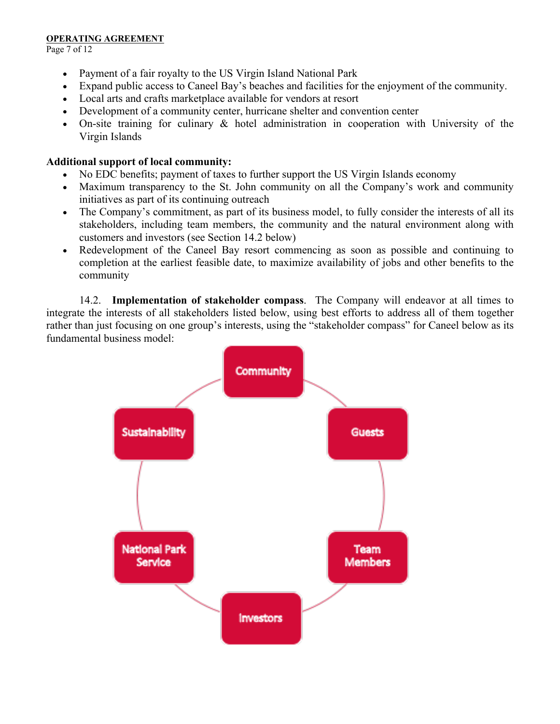Page 7 of 12

- Payment of a fair royalty to the US Virgin Island National Park
- Expand public access to Caneel Bay's beaches and facilities for the enjoyment of the community.
- Local arts and crafts marketplace available for vendors at resort
- Development of a community center, hurricane shelter and convention center
- On-site training for culinary & hotel administration in cooperation with University of the Virgin Islands

## **Additional support of local community:**

- No EDC benefits; payment of taxes to further support the US Virgin Islands economy
- Maximum transparency to the St. John community on all the Company's work and community initiatives as part of its continuing outreach
- The Company's commitment, as part of its business model, to fully consider the interests of all its stakeholders, including team members, the community and the natural environment along with customers and investors (see Section 14.2 below)
- Redevelopment of the Caneel Bay resort commencing as soon as possible and continuing to completion at the earliest feasible date, to maximize availability of jobs and other benefits to the community

14.2. **Implementation of stakeholder compass**. The Company will endeavor at all times to integrate the interests of all stakeholders listed below, using best efforts to address all of them together rather than just focusing on one group's interests, using the "stakeholder compass" for Caneel below as its fundamental business model:

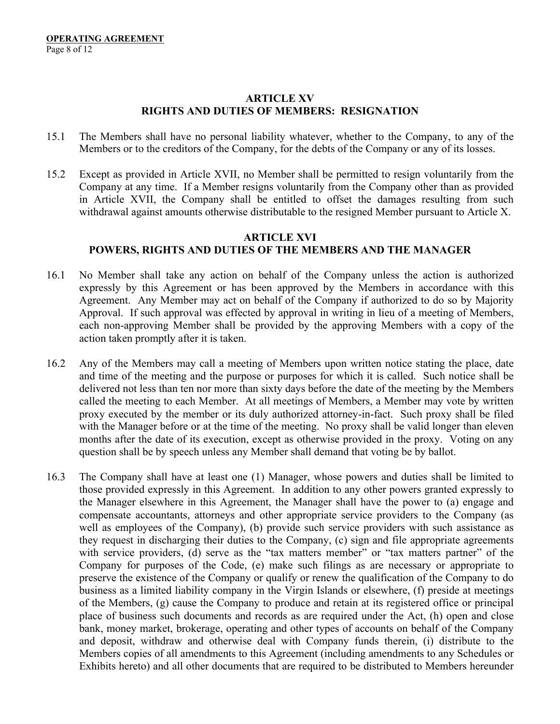## **ARTICLE XV RIGHTS AND DUTIES OF MEMBERS: RESIGNATION**

- 15.1 The Members shall have no personal liability whatever, whether to the Company, to any of the Members or to the creditors of the Company, for the debts of the Company or any of its losses.
- 15.2 Except as provided in Article XVII, no Member shall be permitted to resign voluntarily from the Company at any time. If a Member resigns voluntarily from the Company other than as provided in Article XVII, the Company shall be entitled to offset the damages resulting from such withdrawal against amounts otherwise distributable to the resigned Member pursuant to Article X.

# **ARTICLE XVI POWERS, RIGHTS AND DUTIES OF THE MEMBERS AND THE MANAGER**

- 16.1 No Member shall take any action on behalf of the Company unless the action is authorized expressly by this Agreement or has been approved by the Members in accordance with this Agreement. Any Member may act on behalf of the Company if authorized to do so by Majority Approval. If such approval was effected by approval in writing in lieu of a meeting of Members, each non-approving Member shall be provided by the approving Members with a copy of the action taken promptly after it is taken.
- 16.2 Any of the Members may call a meeting of Members upon written notice stating the place, date and time of the meeting and the purpose or purposes for which it is called. Such notice shall be delivered not less than ten nor more than sixty days before the date of the meeting by the Members called the meeting to each Member. At all meetings of Members, a Member may vote by written proxy executed by the member or its duly authorized attorney-in-fact. Such proxy shall be filed with the Manager before or at the time of the meeting. No proxy shall be valid longer than eleven months after the date of its execution, except as otherwise provided in the proxy. Voting on any question shall be by speech unless any Member shall demand that voting be by ballot.
- 16.3 The Company shall have at least one (1) Manager, whose powers and duties shall be limited to those provided expressly in this Agreement. In addition to any other powers granted expressly to the Manager elsewhere in this Agreement, the Manager shall have the power to (a) engage and compensate accountants, attorneys and other appropriate service providers to the Company (as well as employees of the Company), (b) provide such service providers with such assistance as they request in discharging their duties to the Company, (c) sign and file appropriate agreements with service providers, (d) serve as the "tax matters member" or "tax matters partner" of the Company for purposes of the Code, (e) make such filings as are necessary or appropriate to preserve the existence of the Company or qualify or renew the qualification of the Company to do business as a limited liability company in the Virgin Islands or elsewhere, (f) preside at meetings of the Members, (g) cause the Company to produce and retain at its registered office or principal place of business such documents and records as are required under the Act, (h) open and close bank, money market, brokerage, operating and other types of accounts on behalf of the Company and deposit, withdraw and otherwise deal with Company funds therein, (i) distribute to the Members copies of all amendments to this Agreement (including amendments to any Schedules or Exhibits hereto) and all other documents that are required to be distributed to Members hereunder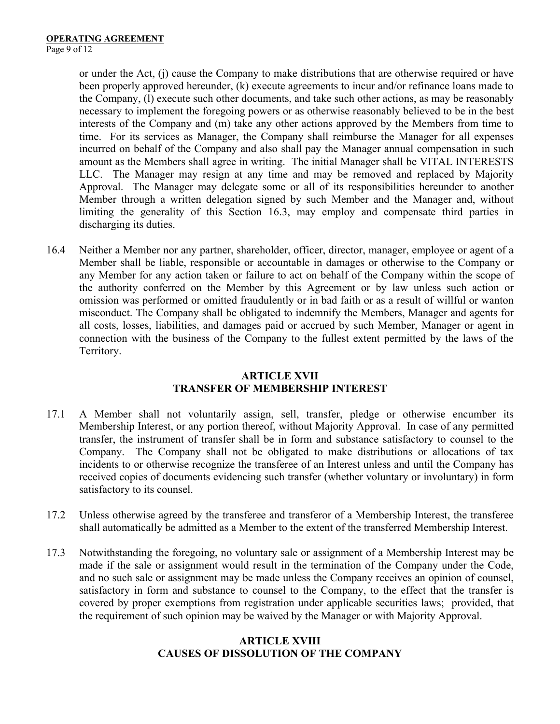or under the Act, (j) cause the Company to make distributions that are otherwise required or have been properly approved hereunder, (k) execute agreements to incur and/or refinance loans made to the Company, (l) execute such other documents, and take such other actions, as may be reasonably necessary to implement the foregoing powers or as otherwise reasonably believed to be in the best interests of the Company and (m) take any other actions approved by the Members from time to time. For its services as Manager, the Company shall reimburse the Manager for all expenses incurred on behalf of the Company and also shall pay the Manager annual compensation in such amount as the Members shall agree in writing. The initial Manager shall be VITAL INTERESTS LLC. The Manager may resign at any time and may be removed and replaced by Majority Approval. The Manager may delegate some or all of its responsibilities hereunder to another Member through a written delegation signed by such Member and the Manager and, without limiting the generality of this Section 16.3, may employ and compensate third parties in discharging its duties.

16.4 Neither a Member nor any partner, shareholder, officer, director, manager, employee or agent of a Member shall be liable, responsible or accountable in damages or otherwise to the Company or any Member for any action taken or failure to act on behalf of the Company within the scope of the authority conferred on the Member by this Agreement or by law unless such action or omission was performed or omitted fraudulently or in bad faith or as a result of willful or wanton misconduct. The Company shall be obligated to indemnify the Members, Manager and agents for all costs, losses, liabilities, and damages paid or accrued by such Member, Manager or agent in connection with the business of the Company to the fullest extent permitted by the laws of the Territory.

## **ARTICLE XVII TRANSFER OF MEMBERSHIP INTEREST**

- 17.1 A Member shall not voluntarily assign, sell, transfer, pledge or otherwise encumber its Membership Interest, or any portion thereof, without Majority Approval. In case of any permitted transfer, the instrument of transfer shall be in form and substance satisfactory to counsel to the Company. The Company shall not be obligated to make distributions or allocations of tax incidents to or otherwise recognize the transferee of an Interest unless and until the Company has received copies of documents evidencing such transfer (whether voluntary or involuntary) in form satisfactory to its counsel.
- 17.2 Unless otherwise agreed by the transferee and transferor of a Membership Interest, the transferee shall automatically be admitted as a Member to the extent of the transferred Membership Interest.
- 17.3 Notwithstanding the foregoing, no voluntary sale or assignment of a Membership Interest may be made if the sale or assignment would result in the termination of the Company under the Code, and no such sale or assignment may be made unless the Company receives an opinion of counsel, satisfactory in form and substance to counsel to the Company, to the effect that the transfer is covered by proper exemptions from registration under applicable securities laws; provided, that the requirement of such opinion may be waived by the Manager or with Majority Approval.

## **ARTICLE XVIII CAUSES OF DISSOLUTION OF THE COMPANY**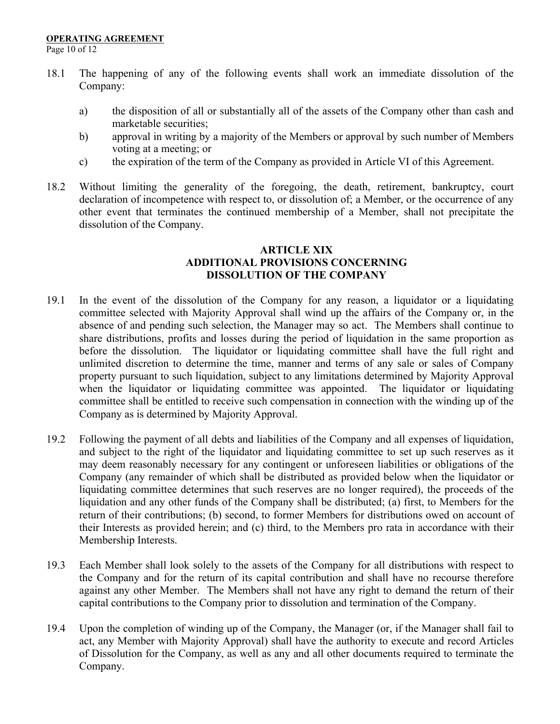Page 10 of 12

- 18.1 The happening of any of the following events shall work an immediate dissolution of the Company:
	- a) the disposition of all or substantially all of the assets of the Company other than cash and marketable securities;
	- b) approval in writing by a majority of the Members or approval by such number of Members voting at a meeting; or
	- c) the expiration of the term of the Company as provided in Article VI of this Agreement.
- 18.2 Without limiting the generality of the foregoing, the death, retirement, bankruptcy, court declaration of incompetence with respect to, or dissolution of; a Member, or the occurrence of any other event that terminates the continued membership of a Member, shall not precipitate the dissolution of the Company.

## **ARTICLE XIX ADDITIONAL PROVISIONS CONCERNING DISSOLUTION OF THE COMPANY**

- 19.1 In the event of the dissolution of the Company for any reason, a liquidator or a liquidating committee selected with Majority Approval shall wind up the affairs of the Company or, in the absence of and pending such selection, the Manager may so act. The Members shall continue to share distributions, profits and losses during the period of liquidation in the same proportion as before the dissolution. The liquidator or liquidating committee shall have the full right and unlimited discretion to determine the time, manner and terms of any sale or sales of Company property pursuant to such liquidation, subject to any limitations determined by Majority Approval when the liquidator or liquidating committee was appointed. The liquidator or liquidating committee shall be entitled to receive such compensation in connection with the winding up of the Company as is determined by Majority Approval.
- 19.2 Following the payment of all debts and liabilities of the Company and all expenses of liquidation, and subject to the right of the liquidator and liquidating committee to set up such reserves as it may deem reasonably necessary for any contingent or unforeseen liabilities or obligations of the Company (any remainder of which shall be distributed as provided below when the liquidator or liquidating committee determines that such reserves are no longer required), the proceeds of the liquidation and any other funds of the Company shall be distributed; (a) first, to Members for the return of their contributions; (b) second, to former Members for distributions owed on account of their Interests as provided herein; and (c) third, to the Members pro rata in accordance with their Membership Interests.
- 19.3 Each Member shall look solely to the assets of the Company for all distributions with respect to the Company and for the return of its capital contribution and shall have no recourse therefore against any other Member. The Members shall not have any right to demand the return of their capital contributions to the Company prior to dissolution and termination of the Company.
- 19.4 Upon the completion of winding up of the Company, the Manager (or, if the Manager shall fail to act, any Member with Majority Approval) shall have the authority to execute and record Articles of Dissolution for the Company, as well as any and all other documents required to terminate the Company.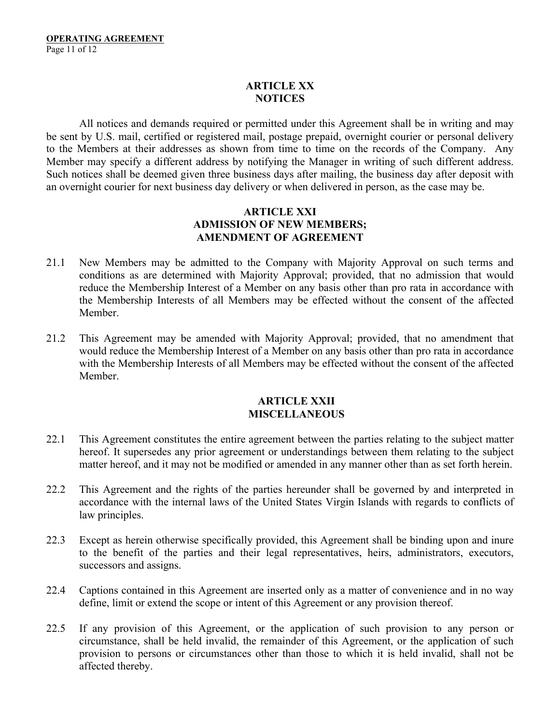# **ARTICLE XX NOTICES**

All notices and demands required or permitted under this Agreement shall be in writing and may be sent by U.S. mail, certified or registered mail, postage prepaid, overnight courier or personal delivery to the Members at their addresses as shown from time to time on the records of the Company. Any Member may specify a different address by notifying the Manager in writing of such different address. Such notices shall be deemed given three business days after mailing, the business day after deposit with an overnight courier for next business day delivery or when delivered in person, as the case may be.

## **ARTICLE XXI ADMISSION OF NEW MEMBERS; AMENDMENT OF AGREEMENT**

- 21.1 New Members may be admitted to the Company with Majority Approval on such terms and conditions as are determined with Majority Approval; provided, that no admission that would reduce the Membership Interest of a Member on any basis other than pro rata in accordance with the Membership Interests of all Members may be effected without the consent of the affected Member.
- 21.2 This Agreement may be amended with Majority Approval; provided, that no amendment that would reduce the Membership Interest of a Member on any basis other than pro rata in accordance with the Membership Interests of all Members may be effected without the consent of the affected Member.

## **ARTICLE XXII MISCELLANEOUS**

- 22.1 This Agreement constitutes the entire agreement between the parties relating to the subject matter hereof. It supersedes any prior agreement or understandings between them relating to the subject matter hereof, and it may not be modified or amended in any manner other than as set forth herein.
- 22.2 This Agreement and the rights of the parties hereunder shall be governed by and interpreted in accordance with the internal laws of the United States Virgin Islands with regards to conflicts of law principles.
- 22.3 Except as herein otherwise specifically provided, this Agreement shall be binding upon and inure to the benefit of the parties and their legal representatives, heirs, administrators, executors, successors and assigns.
- 22.4 Captions contained in this Agreement are inserted only as a matter of convenience and in no way define, limit or extend the scope or intent of this Agreement or any provision thereof.
- 22.5 If any provision of this Agreement, or the application of such provision to any person or circumstance, shall be held invalid, the remainder of this Agreement, or the application of such provision to persons or circumstances other than those to which it is held invalid, shall not be affected thereby.